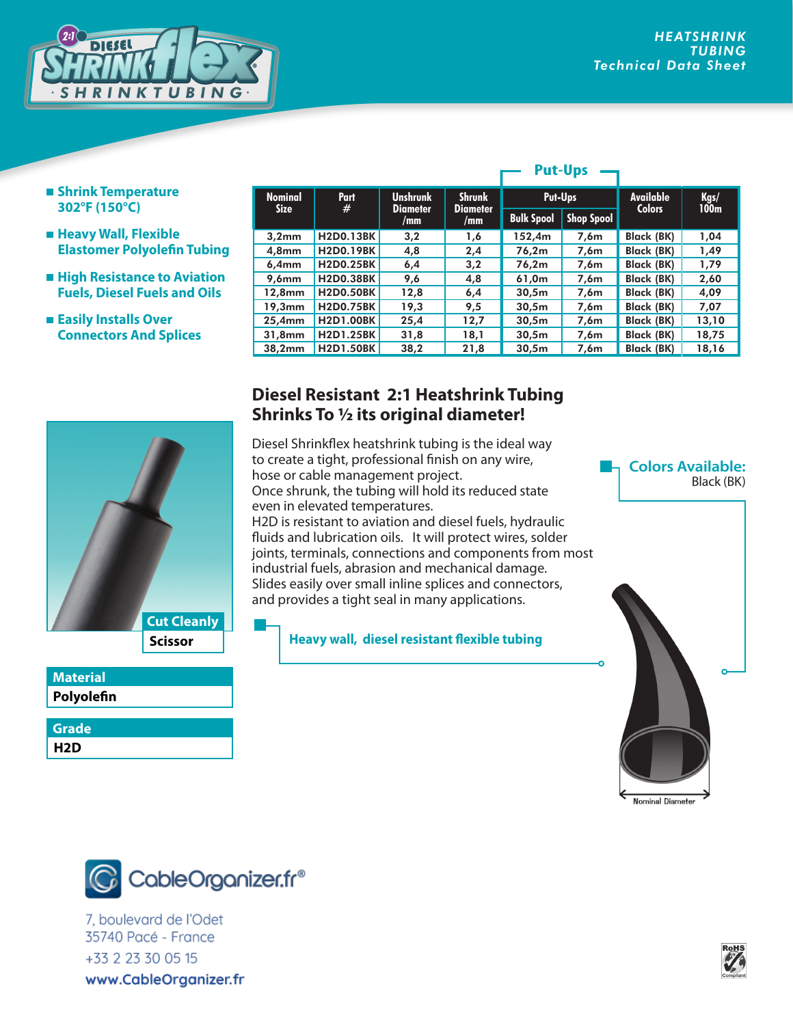

- **Shrink Temperature 302°F (150°C)**
- **Heavy Wall, Flexible Elastomer Polyolefin Tubing**
- **High Resistance to Aviation Fuels, Diesel Fuels and Oils**
- **Easily Installs Over Connectors And Splices**

| <b>Nominal</b><br><b>Size</b> | Part<br>#        | <b>Unshrunk</b><br><b>Diameter</b> | <b>Shrunk</b><br>Put-Ups |                   |                   | <b>Available</b><br><b>Colors</b> | Kgs/             |
|-------------------------------|------------------|------------------------------------|--------------------------|-------------------|-------------------|-----------------------------------|------------------|
|                               |                  | /mm                                | <b>Diameter</b><br>/mm   | <b>Bulk Spool</b> | <b>Shop Spool</b> |                                   | 100 <sub>m</sub> |
| 3,2mm                         | <b>H2D0.13BK</b> | 3,2                                | 1,6                      | 152,4m            | 7,6m              | <b>Black (BK)</b>                 | 1,04             |
| 4.8 <sub>mm</sub>             | <b>H2D0.19BK</b> | 4,8                                | 2,4                      | 76,2m             | 7,6m              | <b>Black (BK)</b>                 | 1,49             |
| 6,4mm                         | <b>H2D0.25BK</b> | 6,4                                | 3,2                      | 76,2m             | 7,6m              | <b>Black (BK)</b>                 | 1,79             |
| 9.6 <sub>mm</sub>             | <b>H2D0.38BK</b> | 9,6                                | 4,8                      | 61,0m             | 7,6m              | <b>Black (BK)</b>                 | 2,60             |
| 12.8mm                        | <b>H2D0.50BK</b> | 12,8                               | 6,4                      | 30,5m             | 7,6m              | <b>Black (BK)</b>                 | 4,09             |
| 19,3mm                        | <b>H2D0.75BK</b> | 19,3                               | 9,5                      | 30,5m             | 7,6m              | Black (BK)                        | 7,07             |
| 25,4mm                        | <b>H2D1.00BK</b> | 25,4                               | 12,7                     | 30,5m             | 7,6m              | Black (BK)                        | 13,10            |
| 31.8mm                        | <b>H2D1.25BK</b> | 31,8                               | 18,1                     | 30,5m             | 7,6m              | Black (BK)                        | 18,75            |
| 38.2mm                        | <b>H2D1.50BK</b> | 38,2                               | 21,8                     | 30,5m             | 7,6m              | <b>Black (BK)</b>                 | 18,16            |

**Put-Ups**

## **Scissor Cut Cleanly**

## **Polyolefin Material**

**H2D Grade**

## **Diesel Resistant 2:1 Heatshrink Tubing Shrinks To 1/2 its original diameter!**

Diesel Shrinkflex heatshrink tubing is the ideal way to create a tight, professional finish on any wire, hose or cable management project. Once shrunk, the tubing will hold its reduced state even in elevated temperatures. H2D is resistant to aviation and diesel fuels, hydraulic fluids and lubrication oils. It will protect wires, solder joints, terminals, connections and components from most industrial fuels, abrasion and mechanical damage. Slides easily over small inline splices and connectors, and provides a tight seal in many applications.

**Heavy wall, diesel resistant flexible tubing**





7, boulevard de l'Odet 35740 Pacé - France *www.techflex.com* 800.323.5140 • 973.300.9242 • fax: 973.300.9409 www.CableOrganizer.fr